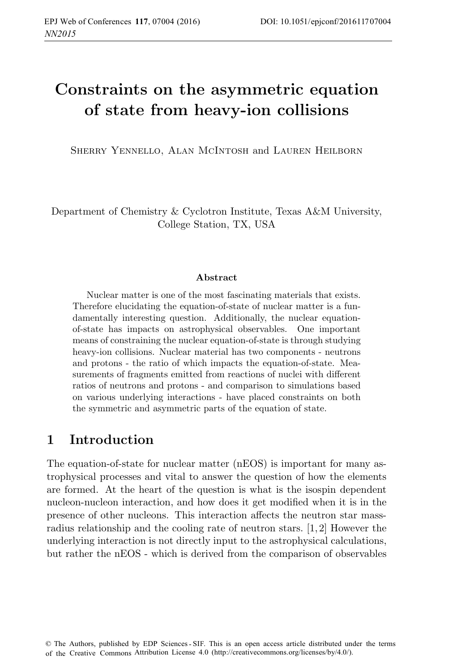# **Constraints on the asymmetric equation of state from heavy-ion collisions**

Sherry Yennello, Alan McIntosh and Lauren Heilborn

Department of Chemistry & Cyclotron Institute, Texas A&M University, College Station, TX, USA

#### **Abstract**

Nuclear matter is one of the most fascinating materials that exists. Therefore elucidating the equation-of-state of nuclear matter is a fundamentally interesting question. Additionally, the nuclear equationof-state has impacts on astrophysical observables. One important means of constraining the nuclear equation-of-state is through studying heavy-ion collisions. Nuclear material has two components - neutrons and protons - the ratio of which impacts the equation-of-state. Measurements of fragments emitted from reactions of nuclei with different ratios of neutrons and protons - and comparison to simulations based on various underlying interactions - have placed constraints on both the symmetric and asymmetric parts of the equation of state.

#### **1 Introduction**

The equation-of-state for nuclear matter (nEOS) is important for many astrophysical processes and vital to answer the question of how the elements are formed. At the heart of the question is what is the isospin dependent nucleon-nucleon interaction, and how does it get modified when it is in the presence of other nucleons. This interaction affects the neutron star massradius relationship and the cooling rate of neutron stars. [1, 2] However the underlying interaction is not directly input to the astrophysical calculations, but rather the nEOS - which is derived from the comparison of observables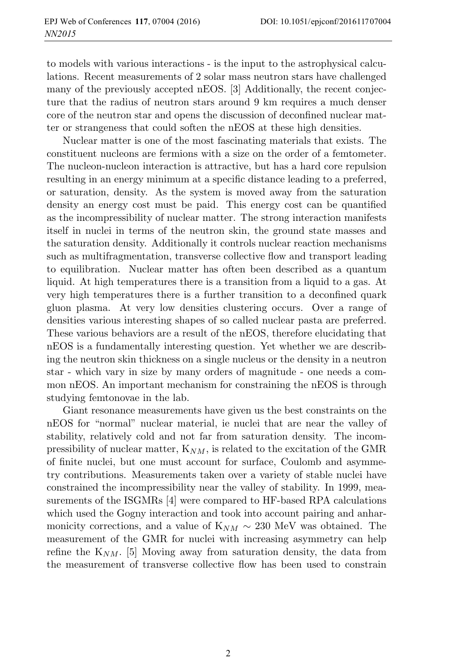to models with various interactions - is the input to the astrophysical calculations. Recent measurements of 2 solar mass neutron stars have challenged many of the previously accepted nEOS. [3] Additionally, the recent conjecture that the radius of neutron stars around 9 km requires a much denser core of the neutron star and opens the discussion of deconfined nuclear matter or strangeness that could soften the nEOS at these high densities.

Nuclear matter is one of the most fascinating materials that exists. The constituent nucleons are fermions with a size on the order of a femtometer. The nucleon-nucleon interaction is attractive, but has a hard core repulsion resulting in an energy minimum at a specific distance leading to a preferred, or saturation, density. As the system is moved away from the saturation density an energy cost must be paid. This energy cost can be quantified as the incompressibility of nuclear matter. The strong interaction manifests itself in nuclei in terms of the neutron skin, the ground state masses and the saturation density. Additionally it controls nuclear reaction mechanisms such as multifragmentation, transverse collective flow and transport leading to equilibration. Nuclear matter has often been described as a quantum liquid. At high temperatures there is a transition from a liquid to a gas. At very high temperatures there is a further transition to a deconfined quark gluon plasma. At very low densities clustering occurs. Over a range of densities various interesting shapes of so called nuclear pasta are preferred. These various behaviors are a result of the nEOS, therefore elucidating that nEOS is a fundamentally interesting question. Yet whether we are describing the neutron skin thickness on a single nucleus or the density in a neutron star - which vary in size by many orders of magnitude - one needs a common nEOS. An important mechanism for constraining the nEOS is through studying femtonovae in the lab.

Giant resonance measurements have given us the best constraints on the nEOS for "normal" nuclear material, ie nuclei that are near the valley of stability, relatively cold and not far from saturation density. The incompressibility of nuclear matter,  $K_{NM}$ , is related to the excitation of the GMR of finite nuclei, but one must account for surface, Coulomb and asymmetry contributions. Measurements taken over a variety of stable nuclei have constrained the incompressibility near the valley of stability. In 1999, measurements of the ISGMRs [4] were compared to HF-based RPA calculations which used the Gogny interaction and took into account pairing and anharmonicity corrections, and a value of  $K_{NM} \sim 230$  MeV was obtained. The measurement of the GMR for nuclei with increasing asymmetry can help refine the  $K_{NM}$ . [5] Moving away from saturation density, the data from the measurement of transverse collective flow has been used to constrain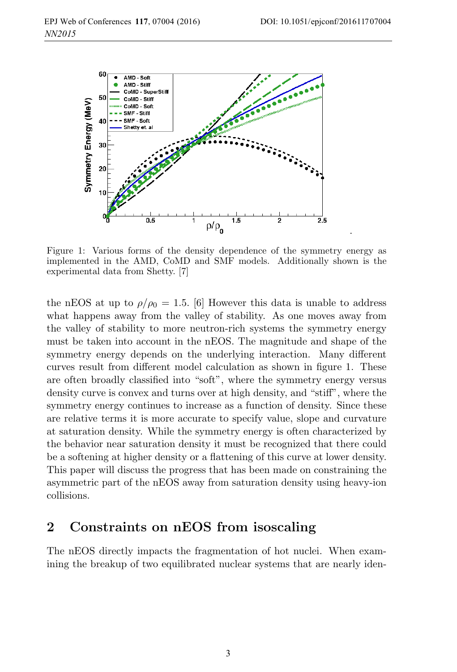.



Figure 1: Various forms of the density dependence of the symmetry energy as implemented in the AMD, CoMD and SMF models. Additionally shown is the experimental data from Shetty. [7]

the nEOS at up to  $\rho/\rho_0 = 1.5$ . [6] However this data is unable to address what happens away from the valley of stability. As one moves away from the valley of stability to more neutron-rich systems the symmetry energy must be taken into account in the nEOS. The magnitude and shape of the symmetry energy depends on the underlying interaction. Many different curves result from different model calculation as shown in figure 1. These are often broadly classified into "soft", where the symmetry energy versus density curve is convex and turns over at high density, and "stiff", where the symmetry energy continues to increase as a function of density. Since these are relative terms it is more accurate to specify value, slope and curvature at saturation density. While the symmetry energy is often characterized by the behavior near saturation density it must be recognized that there could be a softening at higher density or a flattening of this curve at lower density. This paper will discuss the progress that has been made on constraining the asymmetric part of the nEOS away from saturation density using heavy-ion collisions.

#### **2 Constraints on nEOS from isoscaling**

The nEOS directly impacts the fragmentation of hot nuclei. When examining the breakup of two equilibrated nuclear systems that are nearly iden-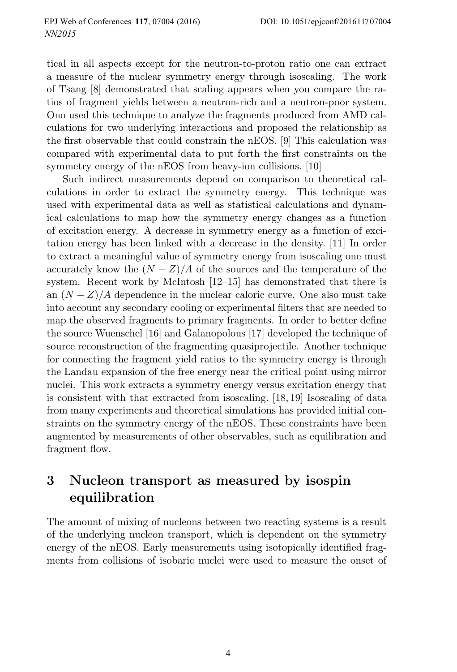tical in all aspects except for the neutron-to-proton ratio one can extract a measure of the nuclear symmetry energy through isoscaling. The work of Tsang [8] demonstrated that scaling appears when you compare the ratios of fragment yields between a neutron-rich and a neutron-poor system. Ono used this technique to analyze the fragments produced from AMD calculations for two underlying interactions and proposed the relationship as the first observable that could constrain the nEOS. [9] This calculation was compared with experimental data to put forth the first constraints on the symmetry energy of the nEOS from heavy-ion collisions. [10]

Such indirect measurements depend on comparison to theoretical calculations in order to extract the symmetry energy. This technique was used with experimental data as well as statistical calculations and dynamical calculations to map how the symmetry energy changes as a function of excitation energy. A decrease in symmetry energy as a function of excitation energy has been linked with a decrease in the density. [11] In order to extract a meaningful value of symmetry energy from isoscaling one must accurately know the  $(N - Z)/A$  of the sources and the temperature of the system. Recent work by McIntosh [12–15] has demonstrated that there is an  $(N - Z)/A$  dependence in the nuclear caloric curve. One also must take into account any secondary cooling or experimental filters that are needed to map the observed fragments to primary fragments. In order to better define the source Wuenschel [16] and Galanopolous [17] developed the technique of source reconstruction of the fragmenting quasiprojectile. Another technique for connecting the fragment yield ratios to the symmetry energy is through the Landau expansion of the free energy near the critical point using mirror nuclei. This work extracts a symmetry energy versus excitation energy that is consistent with that extracted from isoscaling. [18, 19] Isoscaling of data from many experiments and theoretical simulations has provided initial constraints on the symmetry energy of the nEOS. These constraints have been augmented by measurements of other observables, such as equilibration and fragment flow.

## **3 Nucleon transport as measured by isospin equilibration**

The amount of mixing of nucleons between two reacting systems is a result of the underlying nucleon transport, which is dependent on the symmetry energy of the nEOS. Early measurements using isotopically identified fragments from collisions of isobaric nuclei were used to measure the onset of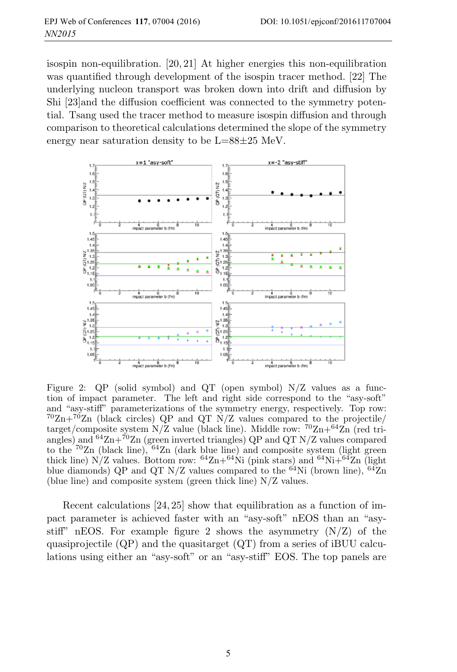isospin non-equilibration. [20, 21] At higher energies this non-equilibration was quantified through development of the isospin tracer method. [22] The underlying nucleon transport was broken down into drift and diffusion by Shi [23]and the diffusion coefficient was connected to the symmetry potential. Tsang used the tracer method to measure isospin diffusion and through comparison to theoretical calculations determined the slope of the symmetry energy near saturation density to be L=88±25 MeV.



Figure 2: QP (solid symbol) and QT (open symbol) N/Z values as a function of impact parameter. The left and right side correspond to the "asy-soft" and "asy-stiff" parameterizations of the symmetry energy, respectively. Top row:  $^{70}Zn+^{70}Zn$  (black circles) QP and QT N/Z values compared to the projectile/ target/composite system  $N/Z$  value (black line). Middle row:  ${}^{70}Zn+{}^{64}Zn$  (red triangles) and  $64Zn+70Zn$  (green inverted triangles) QP and QT N/Z values compared to the  $70Zn$  (black line),  $64Zn$  (dark blue line) and composite system (light green thick line) N/Z values. Bottom row:  ${}^{64}$ Zn+ ${}^{64}$ Ni (pink stars) and  ${}^{64}$ Ni+ ${}^{64}$ Zn (light blue diamonds) QP and QT N/Z values compared to the  $^{64}$ Ni (brown line),  $^{64}$ Zn (blue line) and composite system (green thick line) N/Z values.

Recent calculations [24, 25] show that equilibration as a function of impact parameter is achieved faster with an "asy-soft" nEOS than an "asystiff" nEOS. For example figure 2 shows the asymmetry  $(N/Z)$  of the quasiprojectile  $(QP)$  and the quasitarget  $(QT)$  from a series of iBUU calculations using either an "asy-soft" or an "asy-stiff" EOS. The top panels are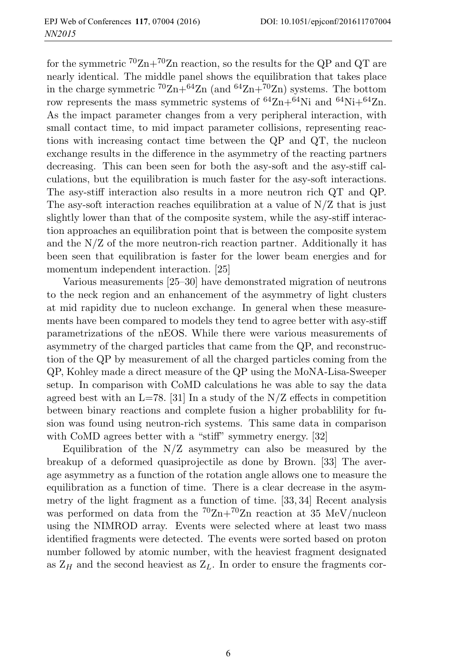for the symmetric  ${}^{70}Zn+{}^{70}Zn$  reaction, so the results for the QP and QT are nearly identical. The middle panel shows the equilibration that takes place in the charge symmetric  ${}^{70} \text{Zn} + {}^{64} \text{Zn}$  (and  ${}^{64} \text{Zn} + {}^{70} \text{Zn}$ ) systems. The bottom row represents the mass symmetric systems of  ${}^{64}$ Zn+ ${}^{64}$ Ni and  ${}^{64}$ Ni+ ${}^{64}$ Zn. As the impact parameter changes from a very peripheral interaction, with small contact time, to mid impact parameter collisions, representing reactions with increasing contact time between the QP and QT, the nucleon exchange results in the difference in the asymmetry of the reacting partners decreasing. This can been seen for both the asy-soft and the asy-stiff calculations, but the equilibration is much faster for the asy-soft interactions. The asy-stiff interaction also results in a more neutron rich QT and QP. The asy-soft interaction reaches equilibration at a value of N/Z that is just slightly lower than that of the composite system, while the asy-stiff interaction approaches an equilibration point that is between the composite system and the  $N/Z$  of the more neutron-rich reaction partner. Additionally it has been seen that equilibration is faster for the lower beam energies and for momentum independent interaction. [25]

Various measurements [25–30] have demonstrated migration of neutrons to the neck region and an enhancement of the asymmetry of light clusters at mid rapidity due to nucleon exchange. In general when these measurements have been compared to models they tend to agree better with asy-stiff parametrizations of the nEOS. While there were various measurements of asymmetry of the charged particles that came from the QP, and reconstruction of the QP by measurement of all the charged particles coming from the QP, Kohley made a direct measure of the QP using the MoNA-Lisa-Sweeper setup. In comparison with CoMD calculations he was able to say the data agreed best with an  $L=78$ . [31] In a study of the N/Z effects in competition between binary reactions and complete fusion a higher probablility for fusion was found using neutron-rich systems. This same data in comparison with CoMD agrees better with a "stiff" symmetry energy. [32]

Equilibration of the  $N/Z$  asymmetry can also be measured by the breakup of a deformed quasiprojectile as done by Brown. [33] The average asymmetry as a function of the rotation angle allows one to measure the equilibration as a function of time. There is a clear decrease in the asymmetry of the light fragment as a function of time. [33, 34] Recent analysis was performed on data from the  ${}^{70}Zn+{}^{70}Zn$  reaction at 35 MeV/nucleon using the NIMROD array. Events were selected where at least two mass identified fragments were detected. The events were sorted based on proton number followed by atomic number, with the heaviest fragment designated as  $Z_H$  and the second heaviest as  $Z_L$ . In order to ensure the fragments cor-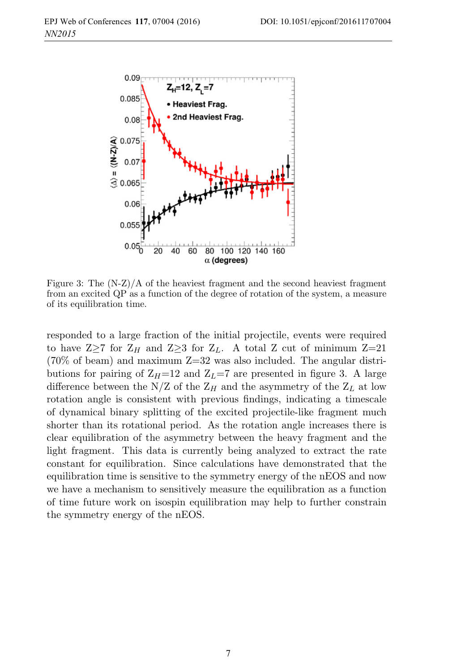

Figure 3: The  $(N-Z)/A$  of the heaviest fragment and the second heaviest fragment from an excited QP as a function of the degree of rotation of the system, a measure of its equilibration time.

responded to a large fraction of the initial projectile, events were required to have  $Z\geq 7$  for  $Z_H$  and  $Z\geq 3$  for  $Z_L$ . A total Z cut of minimum  $Z=21$  $(70\% \text{ of beam})$  and maximum  $Z=32$  was also included. The angular distributions for pairing of  $Z_H$ =12 and  $Z_L$ =7 are presented in figure 3. A large difference between the N/Z of the  $Z_H$  and the asymmetry of the  $Z_L$  at low rotation angle is consistent with previous findings, indicating a timescale of dynamical binary splitting of the excited projectile-like fragment much shorter than its rotational period. As the rotation angle increases there is clear equilibration of the asymmetry between the heavy fragment and the light fragment. This data is currently being analyzed to extract the rate constant for equilibration. Since calculations have demonstrated that the equilibration time is sensitive to the symmetry energy of the nEOS and now we have a mechanism to sensitively measure the equilibration as a function of time future work on isospin equilibration may help to further constrain the symmetry energy of the nEOS.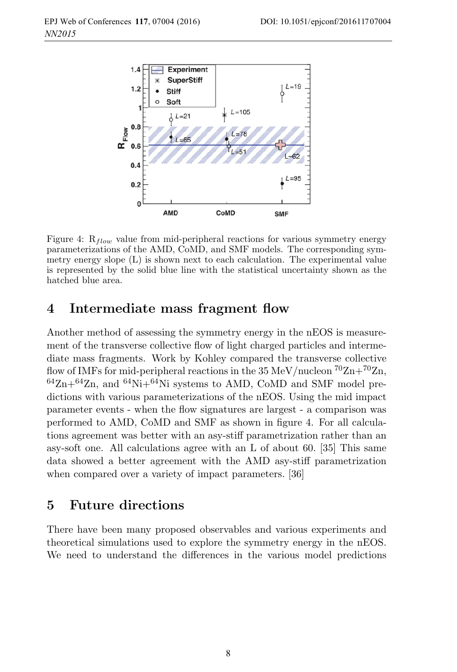

Figure 4:  $R_{flow}$  value from mid-peripheral reactions for various symmetry energy parameterizations of the AMD, CoMD, and SMF models. The corresponding symmetry energy slope (L) is shown next to each calculation. The experimental value is represented by the solid blue line with the statistical uncertainty shown as the hatched blue area.

### **4 Intermediate mass fragment flow**

Another method of assessing the symmetry energy in the nEOS is measurement of the transverse collective flow of light charged particles and intermediate mass fragments. Work by Kohley compared the transverse collective flow of IMFs for mid-peripheral reactions in the 35 MeV/nucleon  ${}^{70}Zn+{}^{70}Zn$ ,  $64Zn+64Zn$ , and  $64Ni+64Ni$  systems to AMD, CoMD and SMF model predictions with various parameterizations of the nEOS. Using the mid impact parameter events - when the flow signatures are largest - a comparison was performed to AMD, CoMD and SMF as shown in figure 4. For all calculations agreement was better with an asy-stiff parametrization rather than an asy-soft one. All calculations agree with an L of about 60. [35] This same data showed a better agreement with the AMD asy-stiff parametrization when compared over a variety of impact parameters. [36]

### **5 Future directions**

There have been many proposed observables and various experiments and theoretical simulations used to explore the symmetry energy in the nEOS. We need to understand the differences in the various model predictions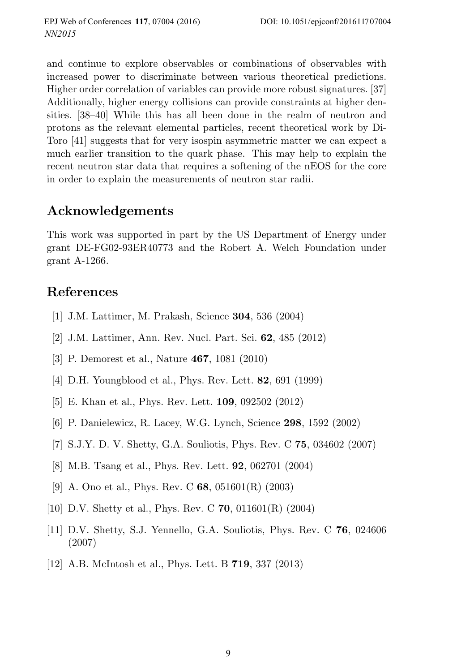and continue to explore observables or combinations of observables with increased power to discriminate between various theoretical predictions. Higher order correlation of variables can provide more robust signatures. [37] Additionally, higher energy collisions can provide constraints at higher densities. [38–40] While this has all been done in the realm of neutron and protons as the relevant elemental particles, recent theoretical work by Di-Toro [41] suggests that for very isospin asymmetric matter we can expect a much earlier transition to the quark phase. This may help to explain the recent neutron star data that requires a softening of the nEOS for the core in order to explain the measurements of neutron star radii.

### **Acknowledgements**

This work was supported in part by the US Department of Energy under grant DE-FG02-93ER40773 and the Robert A. Welch Foundation under grant A-1266.

### **References**

- [1] J.M. Lattimer, M. Prakash, Science **304**, 536 (2004)
- [2] J.M. Lattimer, Ann. Rev. Nucl. Part. Sci. **62**, 485 (2012)
- [3] P. Demorest et al., Nature **467**, 1081 (2010)
- [4] D.H. Youngblood et al., Phys. Rev. Lett. **82**, 691 (1999)
- [5] E. Khan et al., Phys. Rev. Lett. **109**, 092502 (2012)
- [6] P. Danielewicz, R. Lacey, W.G. Lynch, Science **298**, 1592 (2002)
- [7] S.J.Y. D. V. Shetty, G.A. Souliotis, Phys. Rev. C **75**, 034602 (2007)
- [8] M.B. Tsang et al., Phys. Rev. Lett. **92**, 062701 (2004)
- [9] A. Ono et al., Phys. Rev. C **68**, 051601(R) (2003)
- [10] D.V. Shetty et al., Phys. Rev. C **70**, 011601(R) (2004)
- [11] D.V. Shetty, S.J. Yennello, G.A. Souliotis, Phys. Rev. C **76**, 024606 (2007)
- [12] A.B. McIntosh et al., Phys. Lett. B **719**, 337 (2013)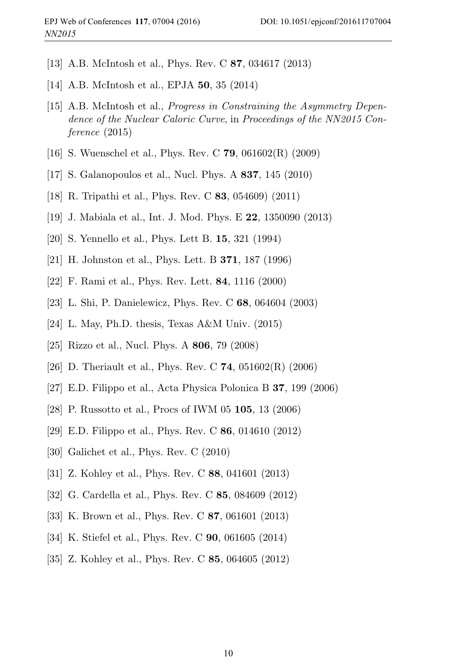- [13] A.B. McIntosh et al., Phys. Rev. C **87**, 034617 (2013)
- [14] A.B. McIntosh et al., EPJA **50**, 35 (2014)
- [15] A.B. McIntosh et al., Progress in Constraining the Asymmetry Dependence of the Nuclear Caloric Curve, in Proceedings of the NN2015 Conference (2015)
- [16] S. Wuenschel et al., Phys. Rev. C **79**, 061602(R) (2009)
- [17] S. Galanopoulos et al., Nucl. Phys. A **837**, 145 (2010)
- [18] R. Tripathi et al., Phys. Rev. C **83**, 054609) (2011)
- [19] J. Mabiala et al., Int. J. Mod. Phys. E **22**, 1350090 (2013)
- [20] S. Yennello et al., Phys. Lett B. **15**, 321 (1994)
- [21] H. Johnston et al., Phys. Lett. B **371**, 187 (1996)
- [22] F. Rami et al., Phys. Rev. Lett. **84**, 1116 (2000)
- [23] L. Shi, P. Danielewicz, Phys. Rev. C **68**, 064604 (2003)
- [24] L. May, Ph.D. thesis, Texas A&M Univ.  $(2015)$
- [25] Rizzo et al., Nucl. Phys. A **806**, 79 (2008)
- [26] D. Theriault et al., Phys. Rev. C **74**, 051602(R) (2006)
- [27] E.D. Filippo et al., Acta Physica Polonica B **37**, 199 (2006)
- [28] P. Russotto et al., Procs of IWM 05 **105**, 13 (2006)
- [29] E.D. Filippo et al., Phys. Rev. C **86**, 014610 (2012)
- [30] Galichet et al., Phys. Rev. C (2010)
- [31] Z. Kohley et al., Phys. Rev. C **88**, 041601 (2013)
- [32] G. Cardella et al., Phys. Rev. C **85**, 084609 (2012)
- [33] K. Brown et al., Phys. Rev. C **87**, 061601 (2013)
- [34] K. Stiefel et al., Phys. Rev. C **90**, 061605 (2014)
- [35] Z. Kohley et al., Phys. Rev. C **85**, 064605 (2012)